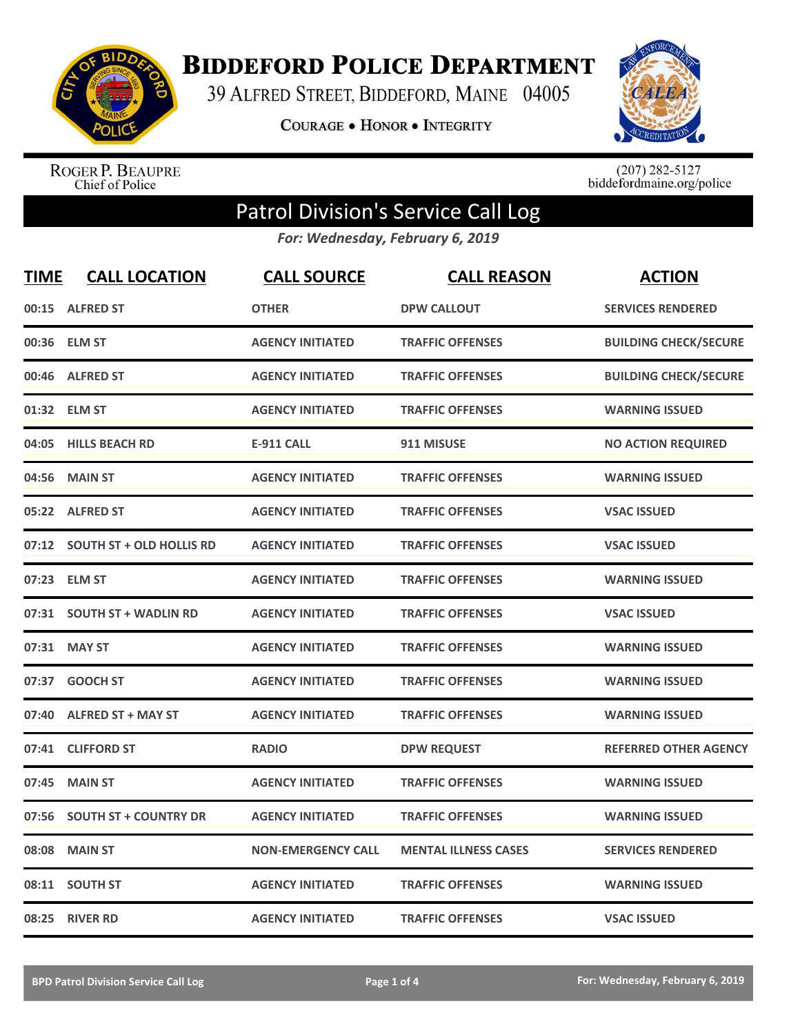

**BIDDEFORD POLICE DEPARTMENT** 

39 ALFRED STREET, BIDDEFORD, MAINE 04005

**COURAGE . HONOR . INTEGRITY** 



ROGER P. BEAUPRE<br>Chief of Police

 $(207)$  282-5127<br>biddefordmaine.org/police

## Patrol Division's Service Call Log

*For: Wednesday, February 6, 2019*

| <b>TIME</b> | <b>CALL LOCATION</b>            | <b>CALL SOURCE</b>        | <b>CALL REASON</b>          | <b>ACTION</b>                |
|-------------|---------------------------------|---------------------------|-----------------------------|------------------------------|
| 00:15       | <b>ALFRED ST</b>                | <b>OTHER</b>              | <b>DPW CALLOUT</b>          | <b>SERVICES RENDERED</b>     |
| 00:36       | <b>ELM ST</b>                   | <b>AGENCY INITIATED</b>   | <b>TRAFFIC OFFENSES</b>     | <b>BUILDING CHECK/SECURE</b> |
| 00:46       | <b>ALFRED ST</b>                | <b>AGENCY INITIATED</b>   | <b>TRAFFIC OFFENSES</b>     | <b>BUILDING CHECK/SECURE</b> |
| 01:32       | <b>ELM ST</b>                   | <b>AGENCY INITIATED</b>   | <b>TRAFFIC OFFENSES</b>     | <b>WARNING ISSUED</b>        |
| 04:05       | <b>HILLS BEACH RD</b>           | <b>E-911 CALL</b>         | 911 MISUSE                  | <b>NO ACTION REQUIRED</b>    |
| 04:56       | <b>MAIN ST</b>                  | <b>AGENCY INITIATED</b>   | <b>TRAFFIC OFFENSES</b>     | <b>WARNING ISSUED</b>        |
| 05:22       | <b>ALFRED ST</b>                | <b>AGENCY INITIATED</b>   | <b>TRAFFIC OFFENSES</b>     | <b>VSAC ISSUED</b>           |
| 07:12       | <b>SOUTH ST + OLD HOLLIS RD</b> | <b>AGENCY INITIATED</b>   | <b>TRAFFIC OFFENSES</b>     | <b>VSAC ISSUED</b>           |
| 07:23       | <b>ELM ST</b>                   | <b>AGENCY INITIATED</b>   | <b>TRAFFIC OFFENSES</b>     | <b>WARNING ISSUED</b>        |
|             | 07:31 SOUTH ST + WADLIN RD      | <b>AGENCY INITIATED</b>   | <b>TRAFFIC OFFENSES</b>     | <b>VSAC ISSUED</b>           |
| 07:31       | <b>MAY ST</b>                   | <b>AGENCY INITIATED</b>   | <b>TRAFFIC OFFENSES</b>     | <b>WARNING ISSUED</b>        |
| 07:37       | <b>GOOCH ST</b>                 | <b>AGENCY INITIATED</b>   | <b>TRAFFIC OFFENSES</b>     | <b>WARNING ISSUED</b>        |
| 07:40       | <b>ALFRED ST + MAY ST</b>       | <b>AGENCY INITIATED</b>   | <b>TRAFFIC OFFENSES</b>     | <b>WARNING ISSUED</b>        |
| 07:41       | <b>CLIFFORD ST</b>              | <b>RADIO</b>              | <b>DPW REQUEST</b>          | <b>REFERRED OTHER AGENCY</b> |
| 07:45       | <b>MAIN ST</b>                  | <b>AGENCY INITIATED</b>   | <b>TRAFFIC OFFENSES</b>     | <b>WARNING ISSUED</b>        |
| 07:56       | <b>SOUTH ST + COUNTRY DR</b>    | <b>AGENCY INITIATED</b>   | <b>TRAFFIC OFFENSES</b>     | <b>WARNING ISSUED</b>        |
| 08:08       | <b>MAIN ST</b>                  | <b>NON-EMERGENCY CALL</b> | <b>MENTAL ILLNESS CASES</b> | <b>SERVICES RENDERED</b>     |
| 08:11       | <b>SOUTH ST</b>                 | <b>AGENCY INITIATED</b>   | <b>TRAFFIC OFFENSES</b>     | <b>WARNING ISSUED</b>        |
| 08:25       | <b>RIVER RD</b>                 | <b>AGENCY INITIATED</b>   | <b>TRAFFIC OFFENSES</b>     | <b>VSAC ISSUED</b>           |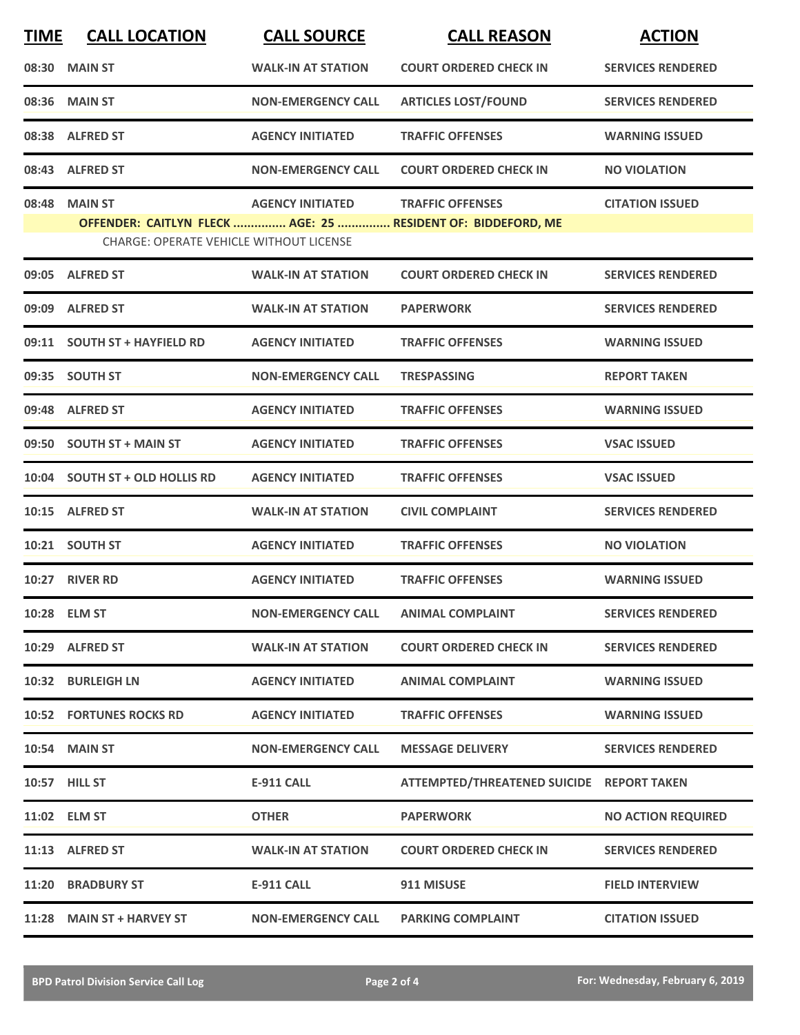| <b>TIME</b> | <b>CALL LOCATION</b>                           | <b>CALL SOURCE</b>        | <b>CALL REASON</b>                                                                      | <b>ACTION</b>             |
|-------------|------------------------------------------------|---------------------------|-----------------------------------------------------------------------------------------|---------------------------|
|             | 08:30 MAIN ST                                  | <b>WALK-IN AT STATION</b> | <b>COURT ORDERED CHECK IN</b>                                                           | <b>SERVICES RENDERED</b>  |
|             | 08:36 MAIN ST                                  | <b>NON-EMERGENCY CALL</b> | <b>ARTICLES LOST/FOUND</b>                                                              | <b>SERVICES RENDERED</b>  |
|             | 08:38 ALFRED ST                                | <b>AGENCY INITIATED</b>   | <b>TRAFFIC OFFENSES</b>                                                                 | <b>WARNING ISSUED</b>     |
|             | 08:43 ALFRED ST                                | <b>NON-EMERGENCY CALL</b> | <b>COURT ORDERED CHECK IN</b>                                                           | <b>NO VIOLATION</b>       |
|             | 08:48 MAIN ST                                  | <b>AGENCY INITIATED</b>   | <b>TRAFFIC OFFENSES</b><br>OFFENDER: CAITLYN FLECK  AGE: 25  RESIDENT OF: BIDDEFORD, ME | <b>CITATION ISSUED</b>    |
|             | <b>CHARGE: OPERATE VEHICLE WITHOUT LICENSE</b> |                           |                                                                                         |                           |
|             | 09:05 ALFRED ST                                | <b>WALK-IN AT STATION</b> | <b>COURT ORDERED CHECK IN</b>                                                           | <b>SERVICES RENDERED</b>  |
|             | 09:09 ALFRED ST                                | <b>WALK-IN AT STATION</b> | <b>PAPERWORK</b>                                                                        | <b>SERVICES RENDERED</b>  |
|             | 09:11 SOUTH ST + HAYFIELD RD                   | <b>AGENCY INITIATED</b>   | <b>TRAFFIC OFFENSES</b>                                                                 | <b>WARNING ISSUED</b>     |
|             | 09:35 SOUTH ST                                 | <b>NON-EMERGENCY CALL</b> | <b>TRESPASSING</b>                                                                      | <b>REPORT TAKEN</b>       |
|             | 09:48 ALFRED ST                                | <b>AGENCY INITIATED</b>   | <b>TRAFFIC OFFENSES</b>                                                                 | <b>WARNING ISSUED</b>     |
|             | 09:50 SOUTH ST + MAIN ST                       | <b>AGENCY INITIATED</b>   | <b>TRAFFIC OFFENSES</b>                                                                 | <b>VSAC ISSUED</b>        |
|             | 10:04 SOUTH ST + OLD HOLLIS RD                 | <b>AGENCY INITIATED</b>   | <b>TRAFFIC OFFENSES</b>                                                                 | <b>VSAC ISSUED</b>        |
|             | 10:15 ALFRED ST                                | <b>WALK-IN AT STATION</b> | <b>CIVIL COMPLAINT</b>                                                                  | <b>SERVICES RENDERED</b>  |
|             | 10:21 SOUTH ST                                 | <b>AGENCY INITIATED</b>   | <b>TRAFFIC OFFENSES</b>                                                                 | <b>NO VIOLATION</b>       |
|             | 10:27 RIVER RD                                 | <b>AGENCY INITIATED</b>   | <b>TRAFFIC OFFENSES</b>                                                                 | <b>WARNING ISSUED</b>     |
|             | 10:28 ELM ST                                   | <b>NON-EMERGENCY CALL</b> | <b>ANIMAL COMPLAINT</b>                                                                 | <b>SERVICES RENDERED</b>  |
|             | 10:29 ALFRED ST                                | <b>WALK-IN AT STATION</b> | <b>COURT ORDERED CHECK IN</b>                                                           | <b>SERVICES RENDERED</b>  |
|             | 10:32 BURLEIGH LN                              | <b>AGENCY INITIATED</b>   | <b>ANIMAL COMPLAINT</b>                                                                 | <b>WARNING ISSUED</b>     |
|             | <b>10:52 FORTUNES ROCKS RD</b>                 | <b>AGENCY INITIATED</b>   | <b>TRAFFIC OFFENSES</b>                                                                 | <b>WARNING ISSUED</b>     |
|             | <b>10:54 MAIN ST</b>                           | <b>NON-EMERGENCY CALL</b> | <b>MESSAGE DELIVERY</b>                                                                 | <b>SERVICES RENDERED</b>  |
|             | 10:57 HILL ST                                  | <b>E-911 CALL</b>         | ATTEMPTED/THREATENED SUICIDE REPORT TAKEN                                               |                           |
|             | 11:02 ELM ST                                   | <b>OTHER</b>              | <b>PAPERWORK</b>                                                                        | <b>NO ACTION REQUIRED</b> |
|             | 11:13 ALFRED ST                                | <b>WALK-IN AT STATION</b> | <b>COURT ORDERED CHECK IN</b>                                                           | <b>SERVICES RENDERED</b>  |
|             | 11:20 BRADBURY ST                              | <b>E-911 CALL</b>         | 911 MISUSE                                                                              | <b>FIELD INTERVIEW</b>    |
|             | 11:28 MAIN ST + HARVEY ST                      | <b>NON-EMERGENCY CALL</b> | <b>PARKING COMPLAINT</b>                                                                | <b>CITATION ISSUED</b>    |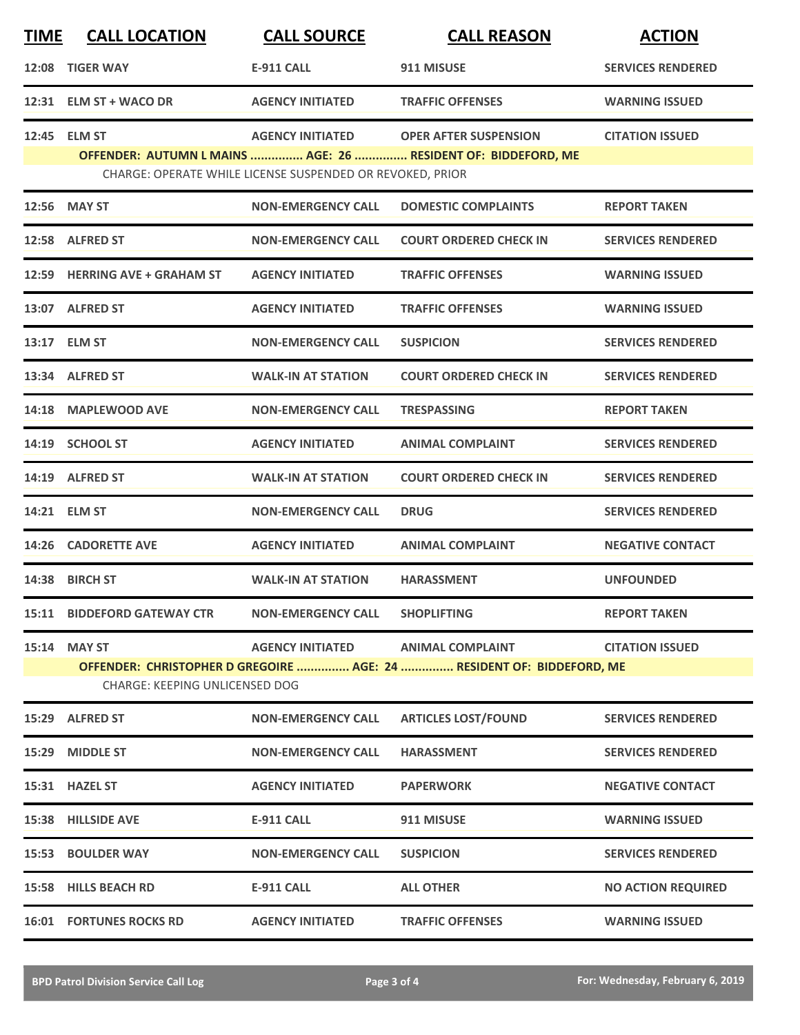| <b>TIME</b> | <b>CALL LOCATION</b>                                  | <b>CALL SOURCE</b>                                                                   | <b>CALL REASON</b>                                                                               | <b>ACTION</b>             |
|-------------|-------------------------------------------------------|--------------------------------------------------------------------------------------|--------------------------------------------------------------------------------------------------|---------------------------|
| 12:08       | <b>TIGER WAY</b>                                      | <b>E-911 CALL</b>                                                                    | 911 MISUSE                                                                                       | <b>SERVICES RENDERED</b>  |
|             | 12:31 ELM ST + WACO DR                                | <b>AGENCY INITIATED</b>                                                              | <b>TRAFFIC OFFENSES</b>                                                                          | <b>WARNING ISSUED</b>     |
|             | 12:45 ELM ST                                          | <b>AGENCY INITIATED</b><br>CHARGE: OPERATE WHILE LICENSE SUSPENDED OR REVOKED, PRIOR | <b>OPER AFTER SUSPENSION</b><br>OFFENDER: AUTUMN L MAINS  AGE: 26  RESIDENT OF: BIDDEFORD, ME    | <b>CITATION ISSUED</b>    |
|             | 12:56 MAY ST                                          | <b>NON-EMERGENCY CALL</b>                                                            | <b>DOMESTIC COMPLAINTS</b>                                                                       | <b>REPORT TAKEN</b>       |
|             | 12:58 ALFRED ST                                       | <b>NON-EMERGENCY CALL</b>                                                            | <b>COURT ORDERED CHECK IN</b>                                                                    | <b>SERVICES RENDERED</b>  |
|             | 12:59 HERRING AVE + GRAHAM ST                         | <b>AGENCY INITIATED</b>                                                              | <b>TRAFFIC OFFENSES</b>                                                                          | <b>WARNING ISSUED</b>     |
|             | 13:07 ALFRED ST                                       | <b>AGENCY INITIATED</b>                                                              | <b>TRAFFIC OFFENSES</b>                                                                          | <b>WARNING ISSUED</b>     |
|             | 13:17 ELM ST                                          | <b>NON-EMERGENCY CALL</b>                                                            | <b>SUSPICION</b>                                                                                 | <b>SERVICES RENDERED</b>  |
|             | 13:34 ALFRED ST                                       | <b>WALK-IN AT STATION</b>                                                            | <b>COURT ORDERED CHECK IN</b>                                                                    | <b>SERVICES RENDERED</b>  |
|             | 14:18 MAPLEWOOD AVE                                   | <b>NON-EMERGENCY CALL</b>                                                            | TRESPASSING                                                                                      | <b>REPORT TAKEN</b>       |
|             | 14:19 SCHOOL ST                                       | <b>AGENCY INITIATED</b>                                                              | <b>ANIMAL COMPLAINT</b>                                                                          | <b>SERVICES RENDERED</b>  |
|             | 14:19 ALFRED ST                                       | <b>WALK-IN AT STATION</b>                                                            | <b>COURT ORDERED CHECK IN</b>                                                                    | <b>SERVICES RENDERED</b>  |
|             | 14:21 ELM ST                                          | <b>NON-EMERGENCY CALL</b>                                                            | <b>DRUG</b>                                                                                      | <b>SERVICES RENDERED</b>  |
| 14:26       | <b>CADORETTE AVE</b>                                  | <b>AGENCY INITIATED</b>                                                              | <b>ANIMAL COMPLAINT</b>                                                                          | <b>NEGATIVE CONTACT</b>   |
|             | 14:38 BIRCH ST                                        | <b>WALK-IN AT STATION</b>                                                            | <b>HARASSMENT</b>                                                                                | <b>UNFOUNDED</b>          |
|             | <b>15:11 BIDDEFORD GATEWAY CTR</b>                    | <b>NON-EMERGENCY CALL</b>                                                            | <b>SHOPLIFTING</b>                                                                               | <b>REPORT TAKEN</b>       |
|             | 15:14 MAY ST<br><b>CHARGE: KEEPING UNLICENSED DOG</b> | <b>AGENCY INITIATED</b>                                                              | <b>ANIMAL COMPLAINT</b><br>OFFENDER: CHRISTOPHER D GREGOIRE  AGE: 24  RESIDENT OF: BIDDEFORD, ME | <b>CITATION ISSUED</b>    |
|             | 15:29 ALFRED ST                                       | <b>NON-EMERGENCY CALL</b>                                                            | <b>ARTICLES LOST/FOUND</b>                                                                       | <b>SERVICES RENDERED</b>  |
|             | 15:29 MIDDLE ST                                       | <b>NON-EMERGENCY CALL</b>                                                            | <b>HARASSMENT</b>                                                                                | <b>SERVICES RENDERED</b>  |
|             | 15:31 HAZEL ST                                        | <b>AGENCY INITIATED</b>                                                              | <b>PAPERWORK</b>                                                                                 | <b>NEGATIVE CONTACT</b>   |
|             | 15:38 HILLSIDE AVE                                    | E-911 CALL                                                                           | 911 MISUSE                                                                                       | <b>WARNING ISSUED</b>     |
|             | 15:53 BOULDER WAY                                     | <b>NON-EMERGENCY CALL</b>                                                            | <b>SUSPICION</b>                                                                                 | <b>SERVICES RENDERED</b>  |
|             | 15:58 HILLS BEACH RD                                  | <b>E-911 CALL</b>                                                                    | <b>ALL OTHER</b>                                                                                 | <b>NO ACTION REQUIRED</b> |
|             | <b>16:01 FORTUNES ROCKS RD</b>                        | <b>AGENCY INITIATED</b>                                                              | <b>TRAFFIC OFFENSES</b>                                                                          | <b>WARNING ISSUED</b>     |
|             |                                                       |                                                                                      |                                                                                                  |                           |